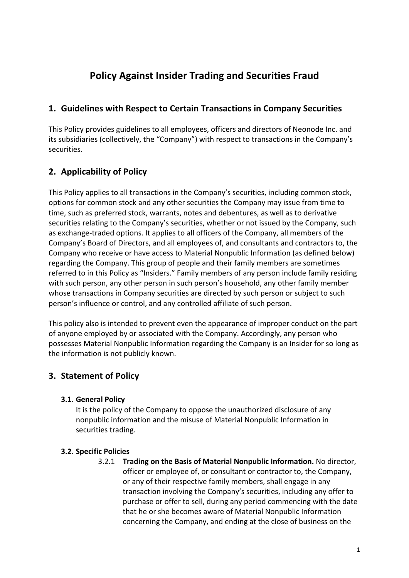# **Policy Against Insider Trading and Securities Fraud**

## **1. Guidelines with Respect to Certain Transactions in Company Securities**

This Policy provides guidelines to all employees, officers and directors of Neonode Inc. and its subsidiaries (collectively, the "Company") with respect to transactions in the Company's securities.

# **2. Applicability of Policy**

This Policy applies to all transactions in the Company's securities, including common stock, options for common stock and any other securities the Company may issue from time to time, such as preferred stock, warrants, notes and debentures, as well as to derivative securities relating to the Company's securities, whether or not issued by the Company, such as exchange-traded options. It applies to all officers of the Company, all members of the Company's Board of Directors, and all employees of, and consultants and contractors to, the Company who receive or have access to Material Nonpublic Information (as defined below) regarding the Company. This group of people and their family members are sometimes referred to in this Policy as "Insiders." Family members of any person include family residing with such person, any other person in such person's household, any other family member whose transactions in Company securities are directed by such person or subject to such person's influence or control, and any controlled affiliate of such person.

This policy also is intended to prevent even the appearance of improper conduct on the part of anyone employed by or associated with the Company. Accordingly, any person who possesses Material Nonpublic Information regarding the Company is an Insider for so long as the information is not publicly known.

# **3. Statement of Policy**

## **3.1. General Policy**

It is the policy of the Company to oppose the unauthorized disclosure of any nonpublic information and the misuse of Material Nonpublic Information in securities trading.

## **3.2. Specific Policies**

3.2.1 **Trading on the Basis of Material Nonpublic Information.** No director, officer or employee of, or consultant or contractor to, the Company, or any of their respective family members, shall engage in any transaction involving the Company's securities, including any offer to purchase or offer to sell, during any period commencing with the date that he or she becomes aware of Material Nonpublic Information concerning the Company, and ending at the close of business on the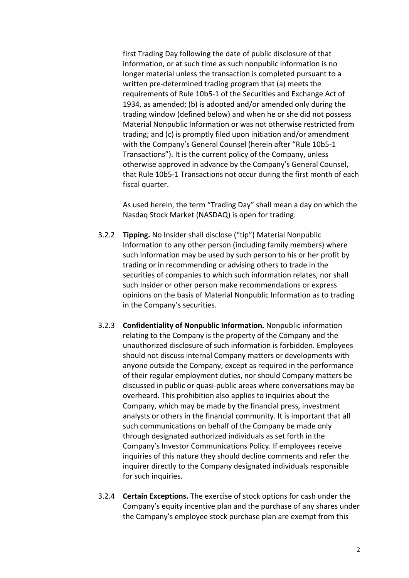first Trading Day following the date of public disclosure of that information, or at such time as such nonpublic information is no longer material unless the transaction is completed pursuant to a written pre-determined trading program that (a) meets the requirements of Rule 10b5-1 of the Securities and Exchange Act of 1934, as amended; (b) is adopted and/or amended only during the trading window (defined below) and when he or she did not possess Material Nonpublic Information or was not otherwise restricted from trading; and (c) is promptly filed upon initiation and/or amendment with the Company's General Counsel (herein after "Rule 10b5-1 Transactions"). It is the current policy of the Company, unless otherwise approved in advance by the Company's General Counsel, that Rule 10b5-1 Transactions not occur during the first month of each fiscal quarter.

As used herein, the term "Trading Day" shall mean a day on which the Nasdaq Stock Market (NASDAQ) is open for trading.

- 3.2.2 **Tipping.** No Insider shall disclose ("tip") Material Nonpublic Information to any other person (including family members) where such information may be used by such person to his or her profit by trading or in recommending or advising others to trade in the securities of companies to which such information relates, nor shall such Insider or other person make recommendations or express opinions on the basis of Material Nonpublic Information as to trading in the Company's securities.
- 3.2.3 **Confidentiality of Nonpublic Information.** Nonpublic information relating to the Company is the property of the Company and the unauthorized disclosure of such information is forbidden. Employees should not discuss internal Company matters or developments with anyone outside the Company, except as required in the performance of their regular employment duties, nor should Company matters be discussed in public or quasi-public areas where conversations may be overheard. This prohibition also applies to inquiries about the Company, which may be made by the financial press, investment analysts or others in the financial community. It is important that all such communications on behalf of the Company be made only through designated authorized individuals as set forth in the Company's Investor Communications Policy. If employees receive inquiries of this nature they should decline comments and refer the inquirer directly to the Company designated individuals responsible for such inquiries.
- 3.2.4 **Certain Exceptions.** The exercise of stock options for cash under the Company's equity incentive plan and the purchase of any shares under the Company's employee stock purchase plan are exempt from this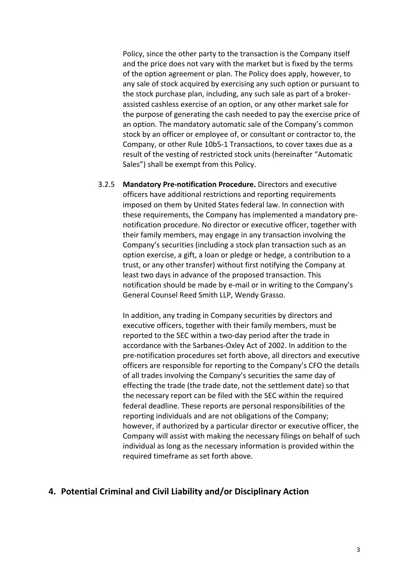Policy, since the other party to the transaction is the Company itself and the price does not vary with the market but is fixed by the terms of the option agreement or plan. The Policy does apply, however, to any sale of stock acquired by exercising any such option or pursuant to the stock purchase plan, including, any such sale as part of a brokerassisted cashless exercise of an option, or any other market sale for the purpose of generating the cash needed to pay the exercise price of an option. The mandatory automatic sale of the Company's common stock by an officer or employee of, or consultant or contractor to, the Company, or other Rule 10b5-1 Transactions, to cover taxes due as a result of the vesting of restricted stock units (hereinafter "Automatic Sales") shall be exempt from this Policy.

3.2.5 **Mandatory Pre-notification Procedure.** Directors and executive officers have additional restrictions and reporting requirements imposed on them by United States federal law. In connection with these requirements, the Company has implemented a mandatory prenotification procedure. No director or executive officer, together with their family members, may engage in any transaction involving the Company's securities (including a stock plan transaction such as an option exercise, a gift, a loan or pledge or hedge, a contribution to a trust, or any other transfer) without first notifying the Company at least two days in advance of the proposed transaction. This notification should be made by e-mail or in writing to the Company's General Counsel Reed Smith LLP, Wendy Grasso.

In addition, any trading in Company securities by directors and executive officers, together with their family members, must be reported to the SEC within a two-day period after the trade in accordance with the Sarbanes-Oxley Act of 2002. In addition to the pre-notification procedures set forth above, all directors and executive officers are responsible for reporting to the Company's CFO the details of all trades involving the Company's securities the same day of effecting the trade (the trade date, not the settlement date) so that the necessary report can be filed with the SEC within the required federal deadline. These reports are personal responsibilities of the reporting individuals and are not obligations of the Company; however, if authorized by a particular director or executive officer, the Company will assist with making the necessary filings on behalf of such individual as long as the necessary information is provided within the required timeframe as set forth above.

## **4. Potential Criminal and Civil Liability and/or Disciplinary Action**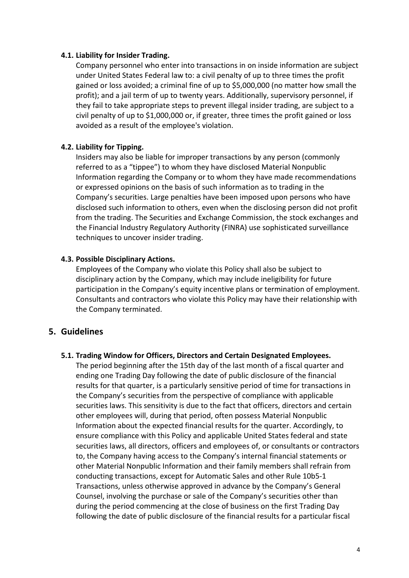#### **4.1. Liability for Insider Trading.**

Company personnel who enter into transactions in on inside information are subject under United States Federal law to: a civil penalty of up to three times the profit gained or loss avoided; a criminal fine of up to \$5,000,000 (no matter how small the profit); and a jail term of up to twenty years. Additionally, supervisory personnel, if they fail to take appropriate steps to prevent illegal insider trading, are subject to a civil penalty of up to \$1,000,000 or, if greater, three times the profit gained or loss avoided as a result of the employee's violation.

#### **4.2. Liability for Tipping.**

Insiders may also be liable for improper transactions by any person (commonly referred to as a "tippee") to whom they have disclosed Material Nonpublic Information regarding the Company or to whom they have made recommendations or expressed opinions on the basis of such information as to trading in the Company's securities. Large penalties have been imposed upon persons who have disclosed such information to others, even when the disclosing person did not profit from the trading. The Securities and Exchange Commission, the stock exchanges and the Financial Industry Regulatory Authority (FINRA) use sophisticated surveillance techniques to uncover insider trading.

#### **4.3. Possible Disciplinary Actions.**

Employees of the Company who violate this Policy shall also be subject to disciplinary action by the Company, which may include ineligibility for future participation in the Company's equity incentive plans or termination of employment. Consultants and contractors who violate this Policy may have their relationship with the Company terminated.

## **5. Guidelines**

#### **5.1. Trading Window for Officers, Directors and Certain Designated Employees.**

The period beginning after the 15th day of the last month of a fiscal quarter and ending one Trading Day following the date of public disclosure of the financial results for that quarter, is a particularly sensitive period of time for transactions in the Company's securities from the perspective of compliance with applicable securities laws. This sensitivity is due to the fact that officers, directors and certain other employees will, during that period, often possess Material Nonpublic Information about the expected financial results for the quarter. Accordingly, to ensure compliance with this Policy and applicable United States federal and state securities laws, all directors, officers and employees of, or consultants or contractors to, the Company having access to the Company's internal financial statements or other Material Nonpublic Information and their family members shall refrain from conducting transactions, except for Automatic Sales and other Rule 10b5-1 Transactions, unless otherwise approved in advance by the Company's General Counsel, involving the purchase or sale of the Company's securities other than during the period commencing at the close of business on the first Trading Day following the date of public disclosure of the financial results for a particular fiscal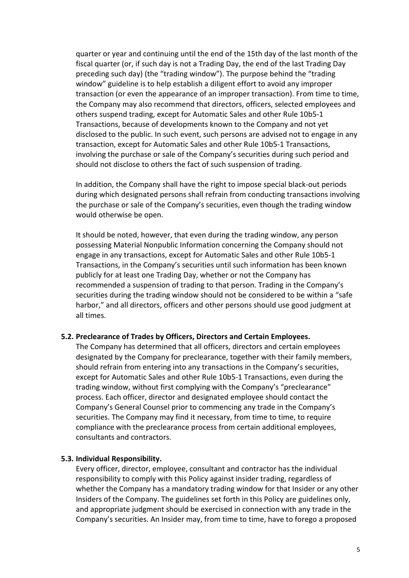quarter or year and continuing until the end of the 15th day of the last month of the fiscal quarter (or, if such day is not a Trading Day, the end of the last Trading Day preceding such day) (the "trading window"). The purpose behind the "trading window" guideline is to help establish a diligent effort to avoid any improper transaction (or even the appearance of an improper transaction). From time to time, the Company may also recommend that directors, officers, selected employees and others suspend trading, except for Automatic Sales and other Rule 10b5-1 Transactions, because of developments known to the Company and not yet disclosed to the public. In such event, such persons are advised not to engage in any transaction, except for Automatic Sales and other Rule 10b5-1 Transactions, involving the purchase or sale of the Company's securities during such period and should not disclose to others the fact of such suspension of trading.

In addition, the Company shall have the right to impose special black-out periods during which designated persons shall refrain from conducting transactions involving the purchase or sale of the Company's securities, even though the trading window would otherwise be open.

It should be noted, however, that even during the trading window, any person possessing Material Nonpublic Information concerning the Company should not engage in any transactions, except for Automatic Sales and other Rule 10b5-1 Transactions, in the Company's securities until such information has been known publicly for at least one Trading Day, whether or not the Company has recommended a suspension of trading to that person. Trading in the Company's securities during the trading window should not be considered to be within a "safe harbor," and all directors, officers and other persons should use good judgment at all times.

#### **5.2. Preclearance of Trades by Officers, Directors and Certain Employees.**

The Company has determined that all officers, directors and certain employees designated by the Company for preclearance, together with their family members, should refrain from entering into any transactions in the Company's securities, except for Automatic Sales and other Rule 10b5-1 Transactions, even during the trading window, without first complying with the Company's "preclearance" process. Each officer, director and designated employee should contact the Company's General Counsel prior to commencing any trade in the Company's securities. The Company may find it necessary, from time to time, to require compliance with the preclearance process from certain additional employees, consultants and contractors.

#### **5.3. Individual Responsibility.**

Every officer, director, employee, consultant and contractor has the individual responsibility to comply with this Policy against insider trading, regardless of whether the Company has a mandatory trading window for that Insider or any other Insiders of the Company. The guidelines set forth in this Policy are guidelines only, and appropriate judgment should be exercised in connection with any trade in the Company's securities. An Insider may, from time to time, have to forego a proposed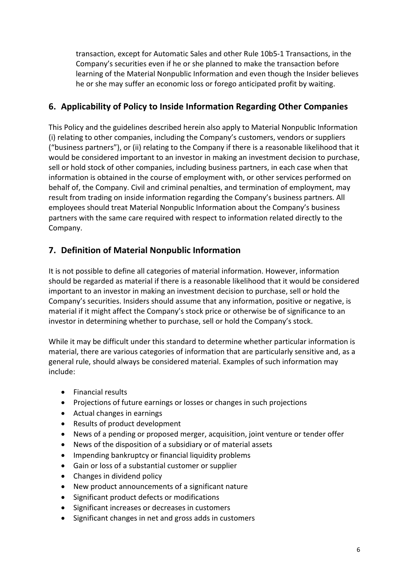transaction, except for Automatic Sales and other Rule 10b5-1 Transactions, in the Company's securities even if he or she planned to make the transaction before learning of the Material Nonpublic Information and even though the Insider believes he or she may suffer an economic loss or forego anticipated profit by waiting.

# **6. Applicability of Policy to Inside Information Regarding Other Companies**

This Policy and the guidelines described herein also apply to Material Nonpublic Information (i) relating to other companies, including the Company's customers, vendors or suppliers ("business partners"), or (ii) relating to the Company if there is a reasonable likelihood that it would be considered important to an investor in making an investment decision to purchase, sell or hold stock of other companies, including business partners, in each case when that information is obtained in the course of employment with, or other services performed on behalf of, the Company. Civil and criminal penalties, and termination of employment, may result from trading on inside information regarding the Company's business partners. All employees should treat Material Nonpublic Information about the Company's business partners with the same care required with respect to information related directly to the Company.

# **7. Definition of Material Nonpublic Information**

It is not possible to define all categories of material information. However, information should be regarded as material if there is a reasonable likelihood that it would be considered important to an investor in making an investment decision to purchase, sell or hold the Company's securities. Insiders should assume that any information, positive or negative, is material if it might affect the Company's stock price or otherwise be of significance to an investor in determining whether to purchase, sell or hold the Company's stock.

While it may be difficult under this standard to determine whether particular information is material, there are various categories of information that are particularly sensitive and, as a general rule, should always be considered material. Examples of such information may include:

- Financial results
- Projections of future earnings or losses or changes in such projections
- Actual changes in earnings
- Results of product development
- News of a pending or proposed merger, acquisition, joint venture or tender offer
- News of the disposition of a subsidiary or of material assets
- Impending bankruptcy or financial liquidity problems
- Gain or loss of a substantial customer or supplier
- Changes in dividend policy
- New product announcements of a significant nature
- Significant product defects or modifications
- Significant increases or decreases in customers
- Significant changes in net and gross adds in customers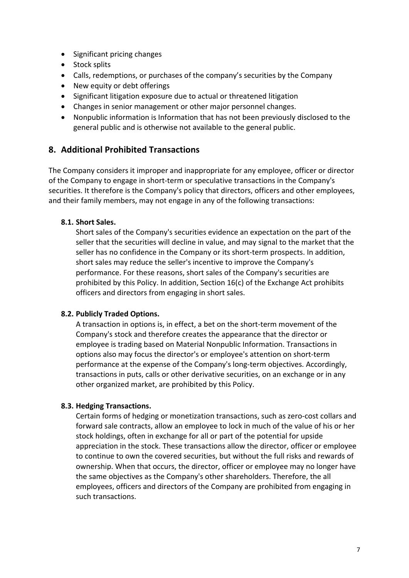- Significant pricing changes
- Stock splits
- Calls, redemptions, or purchases of the company's securities by the Company
- New equity or debt offerings
- Significant litigation exposure due to actual or threatened litigation
- Changes in senior management or other major personnel changes.
- Nonpublic information is Information that has not been previously disclosed to the general public and is otherwise not available to the general public.

## **8. Additional Prohibited Transactions**

The Company considers it improper and inappropriate for any employee, officer or director of the Company to engage in short-term or speculative transactions in the Company's securities. It therefore is the Company's policy that directors, officers and other employees, and their family members, may not engage in any of the following transactions:

## **8.1. Short Sales.**

Short sales of the Company's securities evidence an expectation on the part of the seller that the securities will decline in value, and may signal to the market that the seller has no confidence in the Company or its short-term prospects. In addition, short sales may reduce the seller's incentive to improve the Company's performance. For these reasons, short sales of the Company's securities are prohibited by this Policy. In addition, Section 16(c) of the Exchange Act prohibits officers and directors from engaging in short sales.

### **8.2. Publicly Traded Options.**

A transaction in options is, in effect, a bet on the short-term movement of the Company's stock and therefore creates the appearance that the director or employee is trading based on Material Nonpublic Information. Transactions in options also may focus the director's or employee's attention on short-term performance at the expense of the Company's long-term objectives. Accordingly, transactions in puts, calls or other derivative securities, on an exchange or in any other organized market, are prohibited by this Policy.

### **8.3. Hedging Transactions.**

Certain forms of hedging or monetization transactions, such as zero-cost collars and forward sale contracts, allow an employee to lock in much of the value of his or her stock holdings, often in exchange for all or part of the potential for upside appreciation in the stock. These transactions allow the director, officer or employee to continue to own the covered securities, but without the full risks and rewards of ownership. When that occurs, the director, officer or employee may no longer have the same objectives as the Company's other shareholders. Therefore, the all employees, officers and directors of the Company are prohibited from engaging in such transactions.